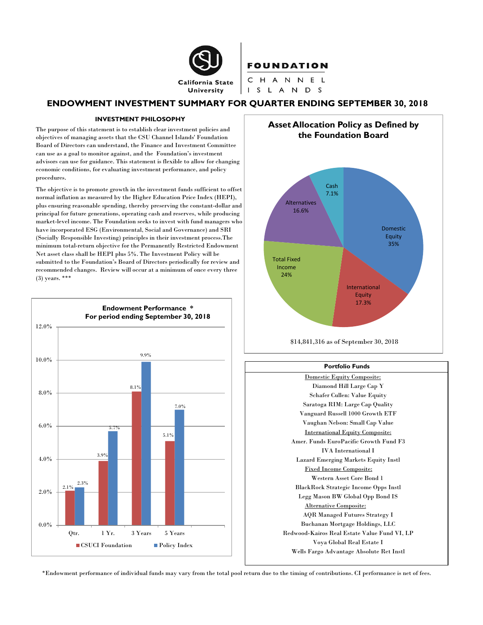

**FOUNDATION** 

CHANNEL I S L A N D S

# **ENDOWMENT INVESTMENT SUMMARY FOR QUARTER ENDING SEPTEMBER 30, 2018**

### **INVESTMENT PHILOSOPHY**

The purpose of this statement is to establish clear investment policies and objectives of managing assets that the CSU Channel Islands' Foundation Board of Directors can understand, the Finance and Investment Committee can use as a goal to monitor against, and the Foundation's investment advisors can use for guidance. This statement is flexible to allow for changing economic conditions, for evaluating investment performance, and policy procedures.

The objective is to promote growth in the investment funds sufficient to offset normal inflation as measured by the Higher Education Price Index (HEPI), plus ensuring reasonable spending, thereby preserving the constant-dollar and principal for future generations, operating cash and reserves, while producing market-level income. The Foundation seeks to invest with fund managers who have incorporated ESG (Environmental, Social and Governance) and SRI (Socially Responsible Investing) principles in their investment process.The minimum total-return objective for the Permanently Restricted Endowment Net asset class shall be HEPI plus 5%. The Investment Policy will be submitted to the Foundation's Board of Directors periodically for review and recommended changes. Review will occur at a minimum of once every three (3) years. \*\*\*



**Asset Allocation Policy as Defined by the Foundation Board**





# **Portfolio Funds**

Domestic Equity Composite: Diamond Hill Large Cap Y Schafer Cullen: Value Equity Saratoga RIM: Large Cap Quality Vanguard Russell 1000 Growth ETF Vaughan Nelson: Small Cap Value International Equity Composite: Amer. Funds EuroPacific Growth Fund F3 IVA International I Lazard Emerging Markets Equity Instl Fixed Income Composite: Western Asset Core Bond 1 BlackRock Strategic Income Opps Instl Legg Mason BW Global Opp Bond IS Alternative Composite: AQR Managed Futures Strategy I Buchanan Mortgage Holdings, LLC Redwood-Kairos Real Estate Value Fund VI, LP Voya Global Real Estate I Wells Fargo Advantage Absolute Ret Instl

\*Endowment performance of individual funds may vary from the total pool return due to the timing of contributions. CI performance is net of fees.